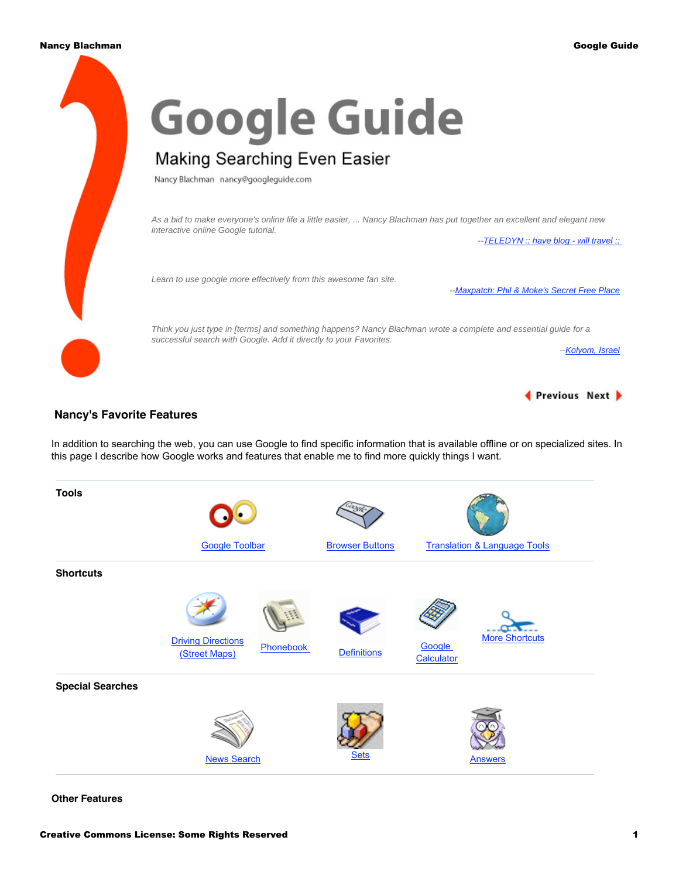

# **Nancy's Favorite Features**

In addition to searching the web, you can use Google to find specific information that is available offline or on specialized sites. In this page I describe how Google works and features that enable me to find more quickly things I want.

| <b>Tools</b>            |                                                                |                        |                                               |
|-------------------------|----------------------------------------------------------------|------------------------|-----------------------------------------------|
|                         | <b>Google Toolbar</b>                                          | <b>Browser Buttons</b> | <b>Translation &amp; Language Tools</b>       |
| <b>Shortcuts</b>        |                                                                |                        |                                               |
|                         | <b>Driving Directions</b><br><b>Phonebook</b><br>(Street Maps) | <b>Definitions</b>     | <b>More Shortcuts</b><br>Google<br>Calculator |
| <b>Special Searches</b> |                                                                |                        |                                               |
|                         | <b>News Search</b>                                             | <b>Sets</b>            | <b>Answers</b>                                |

**Other Features**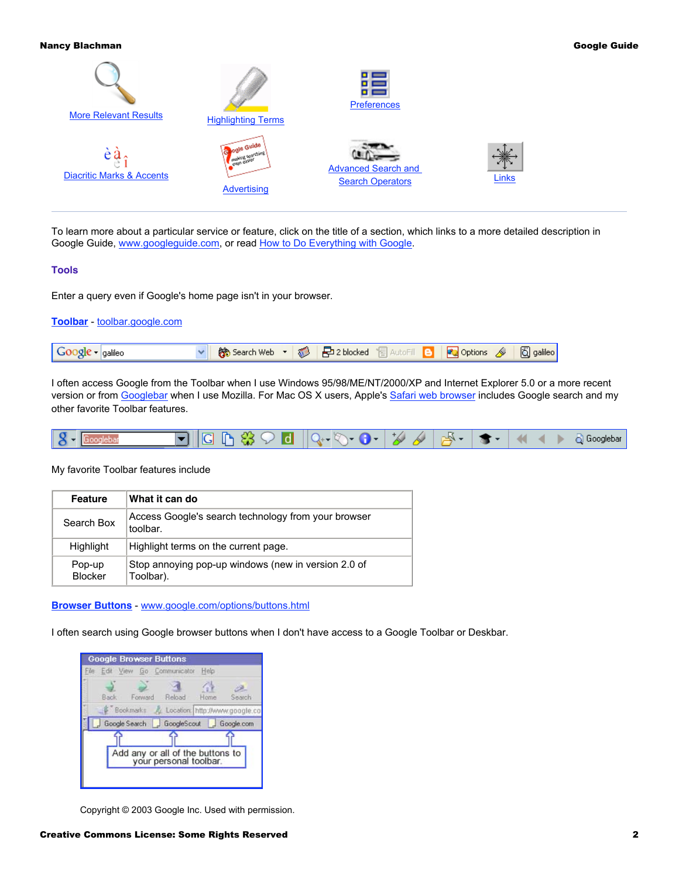

To learn more about a particular service or feature, click on the title of a section, which links to a more detailed description in Google Guide, [www.googleguide.com,](http://www.googleguide.com/) or read [How to Do Everything with Google.](http://www.amazon.com/exec/obidos/redirect?tag=googleguide-20&path=tg/detail/-/0072231742/qid%3D1065590686/sr%3D1-13)

# **Tools**

Enter a query even if Google's home page isn't in your browser.

| Toolbar - toolbar.google.com |                                                                        |  |  |  |  |
|------------------------------|------------------------------------------------------------------------|--|--|--|--|
| $Gogle \cdot$ galileo        | v   第 Search Web ▼ 第 日2 blocked 日 AutoFill 日   2 Options 4   6 galileo |  |  |  |  |

I often access Google from the Toolbar when I use Windows 95/98/ME/NT/2000/XP and Internet Explorer 5.0 or a more recent version or from [Googlebar](http://googlebar.mozdev.org/) when I use Mozilla. For Mac OS X users, Apple's [Safari web browser](http://www.apple.com/safari/) includes Google search and my other favorite Toolbar features.



# My favorite Toolbar features include

| <b>Feature</b>           | What it can do                                                   |
|--------------------------|------------------------------------------------------------------|
| Search Box               | Access Google's search technology from your browser<br>toolbar.  |
| <b>Highlight</b>         | Highlight terms on the current page.                             |
| Pop-up<br><b>Blocker</b> | Stop annoying pop-up windows (new in version 2.0 of<br>Toolbar). |

**[Browser Buttons](http://www.googleguide.com/tools.html#browserButtons)** - [www.google.com/options/buttons.html](http://www.google.com/options/buttons.html)

I often search using Google browser buttons when I don't have access to a Google Toolbar or Deskbar.

| <b>Google Browser Buttons</b><br>File Edit View Go Communicator |         |                                                            | Help |            |
|-----------------------------------------------------------------|---------|------------------------------------------------------------|------|------------|
| Back                                                            | Forward | Reload                                                     | Home | Search     |
| Bookmarks & Location: http://www.google.co<br>Google Search     |         | GoogleScout                                                | u    | Google.com |
|                                                                 |         | Add any or all of the buttons to<br>your personal toolbar. |      |            |
|                                                                 |         |                                                            |      |            |

Copyright © 2003 Google Inc. Used with permission.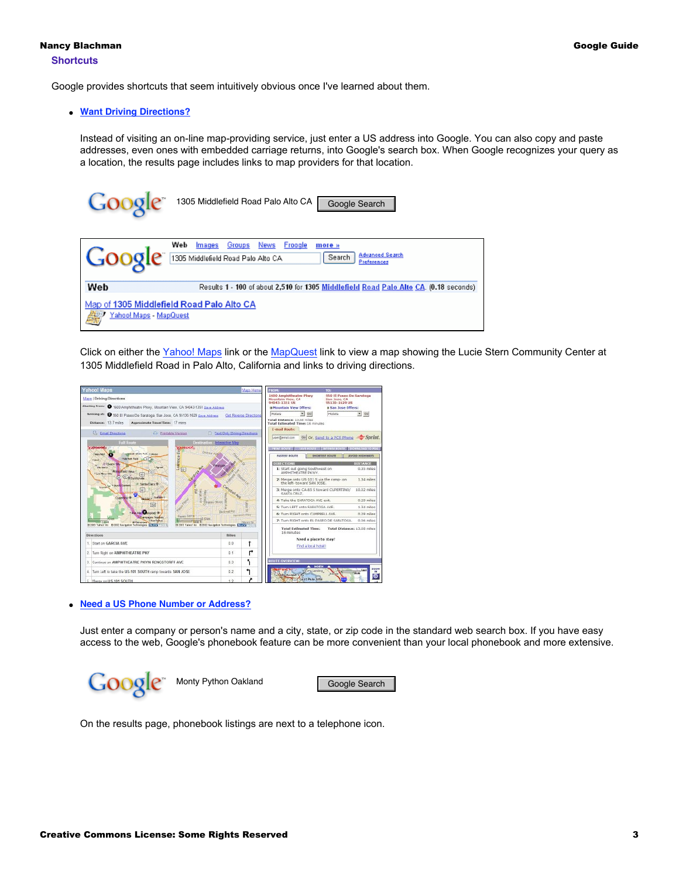Google provides shortcuts that seem intuitively obvious once I've learned about them.

## ● **[Want Driving Directions?](http://www.googleguide.com/maps.html)**

Instead of visiting an on-line map-providing service, just enter a US address into Google. You can also copy and paste addresses, even ones with embedded carriage returns, into Google's search box. When Google recognizes your query as a location, the results page includes links to map providers for that location.

| 3009 C                      | 1305 Middlefield Road Palo Alto CA<br>Google Search                                                                                           |
|-----------------------------|-----------------------------------------------------------------------------------------------------------------------------------------------|
| Google                      | Web<br>News<br>Froogle<br>Groups<br>Images<br>more »<br><b>Advanced Search</b><br>1305 Middlefield Road Palo Alto CA<br>Search<br>Preferences |
| Web                         | Results 1 - 100 of about 2,510 for 1305 Middlefield Road Palo Alto CA. (0.18 seconds)                                                         |
| Yahoo! Maps - MapQuest<br>藥 | Map of 1305 Middlefield Road Palo Alto CA                                                                                                     |

Click on either the [Yahoo! Maps](http://maps.yahoo.com/maps_result?ed=glY3UOp_0ToRQpdb3gPJKlcEwflUATN_EPHQgYOx&csz=Palo+Alto+CA&country=us&cat=) link or the [MapQuest](http://www.mapquest.com/maps/map.adp?country=US&address=1305+Middlefield+Road+&city=Palo+Alto&state=CA) link to view a map showing the Lucie Stern Community Center at 1305 Middlefield Road in Palo Alto, California and links to driving directions.

| ahoo! Maps                                                                                                                                         |                                                                                                                           | Maps Home              | r RDM:                           |                                                       | TO-                                                       |                                                    |
|----------------------------------------------------------------------------------------------------------------------------------------------------|---------------------------------------------------------------------------------------------------------------------------|------------------------|----------------------------------|-------------------------------------------------------|-----------------------------------------------------------|----------------------------------------------------|
| <b>Maps   Driving Directions</b>                                                                                                                   | 1600 Amphitheatre Pkwy<br>950 El Passo De Saratoga<br>Mountain View, CA<br>San Jose, CA<br>94043-1351 US<br>95130-1629 US |                        |                                  |                                                       |                                                           |                                                    |
| Starting from: 1600 Amphitheatre Plowy, Mountain View, CA 94043-1351 Save Address                                                                  | <b>a Mountain View Offers:</b><br><b>B San Jose Offers!</b>                                                               |                        |                                  |                                                       |                                                           |                                                    |
| Arriving at: @ 950 El Paseo De Saratoga, San Jose, CA 95130-1629 Save Address                                                                      |                                                                                                                           | Get Reverse Directions | Hotals <sup>1</sup>              | ×<br>Go                                               | Hotals                                                    | $\mathbf{v}$<br>$\Theta$                           |
| Distance: 13.7 miles<br>Approximate Travel Time: 17 mins                                                                                           |                                                                                                                           |                        | Total Distance: 11.65 miles      | <b>Total Estimated Time: 16 minutes</b>               |                                                           |                                                    |
|                                                                                                                                                    |                                                                                                                           |                        | F-mail Bouter                    |                                                       |                                                           |                                                    |
| File Email Directions<br>Ci Printable Version<br><b>Full Route</b>                                                                                 | <b>Text Only Driving Directions</b><br><b>Beelination - Interactive Map</b>                                               |                        | user@enak.com                    |                                                       | Go or, Send to a PCS Phone Sprint                         |                                                    |
| Visitability<br><b>DOBIC</b><br>运<br><b>Drawing Aver</b><br>able to Shore For Linkerson<br><b>May Field</b>                                        |                                                                                                                           |                        |                                  |                                                       | FRINT FOUTE   LAVE FOUTE   TESTES SOUTH   DOWNLOAD CO FDA |                                                    |
| <b>Lawrence</b><br><b>CONTRACTION INCOME.</b><br>Mexi<br>(I) il Gastro Gli                                                                         |                                                                                                                           |                        | FASTEST BOUTE<br>DIRECTIONS      |                                                       | <b>SHOETEST BOUTE</b>                                     | <b><i>AVOID HIGHWAYS</i></b><br><b>DESTANCE</b>    |
| <b><i><u><i><u>Agress</u></i></u></i></b><br><b>Jim Media</b><br> 12 <br><b>Krawitzin View</b><br><b>Mage</b><br>$F_{101}$<br>Los Wes-Hills<br>las | <b>Castro</b>                                                                                                             |                        |                                  | 1: Start out going Southwest on<br>AMPHITHEATRE PKWY. |                                                           | $0.35$ miles                                       |
| <b>COMMUNISTICATION</b><br>œ.<br><b>Santa Dara W</b><br>Imposite " layou passed                                                                    |                                                                                                                           |                        |                                  | the left- toward SAN JOSE.                            | 2: Merge onto US-101 S via the ramp- on                   | $1.34$ miles                                       |
| ca<br>Ω                                                                                                                                            |                                                                                                                           |                        | SANTA CRUZ                       |                                                       | 3: Merge onto CA-85 S toward CUPERTINO/                   | 10.02 miles                                        |
| <b>Biddays Buffalo</b><br>Leeting of<br><b>SPINED CRYOS</b>                                                                                        |                                                                                                                           |                        |                                  | 4: Take the SARATOGA AVE exit.                        |                                                           | $0.29$ miles                                       |
| $\overline{[54]}$                                                                                                                                  |                                                                                                                           |                        |                                  | 5: Turn LEFT onto SARATOGA AVE.                       |                                                           | $1.34$ miles                                       |
| <b>Ballie Corporation</b><br><b>Pager-Tierra</b><br><b>Currosins Fasture</b>                                                                       | <b>Buckreat For</b>                                                                                                       | Filter wird in More    |                                  | 6: Turn RIGHT onto CAMPRELL AVE.                      |                                                           | 0.29 miles                                         |
| 0.564<br>o tue famin<br>24006<br><b>Giffannished</b><br>0 2003 Yahad Inc., 8 2002 Nevigation Technologies ECEANS Inc.                              |                                                                                                                           |                        |                                  |                                                       | 7: Turn RIGHT onto EL PASEO DE SARATOGA.                  | 0.06 miles                                         |
| 012003 Yahao! Inc. 80 2002 Navigation Technologies EMAXS                                                                                           |                                                                                                                           |                        |                                  | <b>Total Estimated Time:</b>                          |                                                           | Total Distance: 13.68 miles                        |
| Directions                                                                                                                                         | Milns                                                                                                                     |                        | 16 minutes                       |                                                       |                                                           |                                                    |
| 1. Start on GARCIA AVE                                                                                                                             | 0.0                                                                                                                       | 1                      |                                  | Need a place to stav?<br>Find a local hotel!          |                                                           |                                                    |
| 2. Turn Right on AMPHITHEATRE PKY                                                                                                                  | 0.1                                                                                                                       |                        |                                  |                                                       |                                                           |                                                    |
| 3.<br>Continue on AMPHITHEATRE PKY/N RENGSTORFF AVE                                                                                                | 0.3                                                                                                                       | ٦                      | <b>ROUTE OVERVIEW</b>            |                                                       |                                                           |                                                    |
| 4. Turn Left to take the US-101 SOUTH ramp towards SAN JOSE                                                                                        | 0.2                                                                                                                       |                        | SPowers o<br><b>Modwood City</b> | HOTTH<br><b>NEMELANDING</b>                           |                                                           | <b>ZOOM</b><br>Smil<br><b>IM</b><br>$C_{\rm F}$ at |
| Merge on US-101 SOUTH                                                                                                                              | $+2$                                                                                                                      |                        |                                  | <b>East Palo After</b>                                |                                                           | ര                                                  |

● **[Need a US Phone Number or Address?](http://www.googleguide.com/phonebook.html)**

Just enter a company or person's name and a city, state, or zip code in the standard web search box. If you have easy access to the web, Google's phonebook feature can be more convenient than your local phonebook and more extensive.



On the results page, phonebook listings are next to a telephone icon.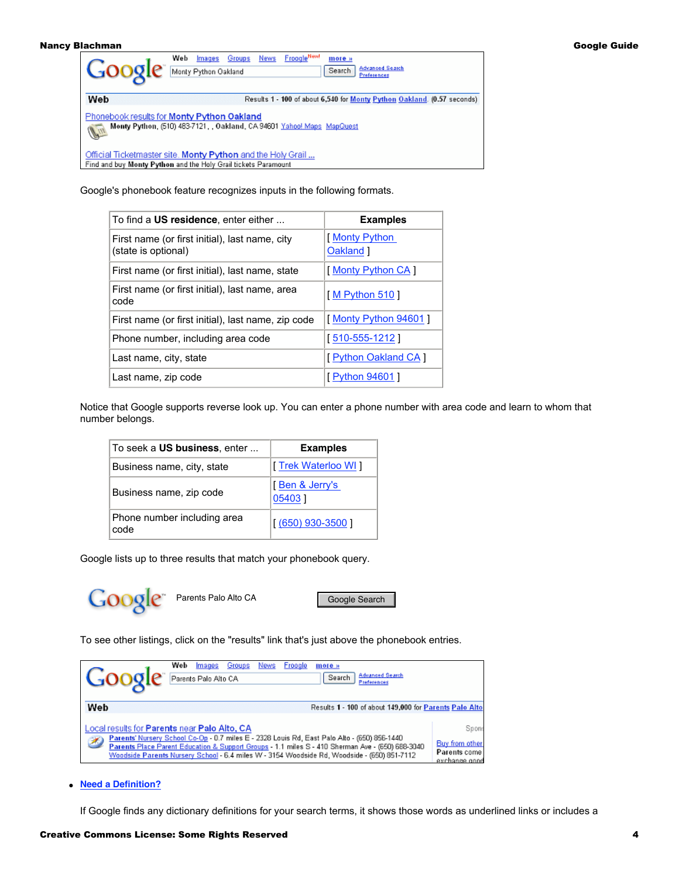|     | <b>Froogle<sup>New</sup></b><br>Web<br>Groups<br>News<br>Images<br>more »<br><b>Advanced Search</b><br>Search<br>Monty Python Oakland<br><b>Preferences</b> |
|-----|-------------------------------------------------------------------------------------------------------------------------------------------------------------|
| Web | Results 1 - 100 of about 6,540 for Monty Python Oakland. (0.57 seconds)                                                                                     |
| P   | Phonebook results for Monty Python Oakland<br>Monty Python, (510) 483-7121, , Oakland, CA 94601 Yahoo! Maps, MapQuest                                       |
|     | Official Ticketmaster site. Monty Python and the Holy Grail<br>Find and buy Monty Python and the Holy Grail tickets Paramount                               |

Google's phonebook feature recognizes inputs in the following formats.

| To find a US residence, enter either                                  | <b>Examples</b>           |
|-----------------------------------------------------------------------|---------------------------|
| First name (or first initial), last name, city<br>(state is optional) | Monty Python<br>Oakland 1 |
| First name (or first initial), last name, state                       | [Monty Python CA]         |
| First name (or first initial), last name, area<br>code                | [M Python 510]            |
| First name (or first initial), last name, zip code                    | [Monty Python 94601]      |
| Phone number, including area code                                     | [ 510-555-1212 ]          |
| Last name, city, state                                                | [ Python Oakland CA ]     |
| Last name, zip code                                                   | [ Python 94601 ]          |

Notice that Google supports reverse look up. You can enter a phone number with area code and learn to whom that number belongs.

| To seek a US business, enter        | <b>Examples</b>          |
|-------------------------------------|--------------------------|
| Business name, city, state          | [Trek Waterloo WI]       |
| Business name, zip code             | [Ben & Jerry's<br>054031 |
| Phone number including area<br>code | $(650)$ 930-3500 ]       |

Google lists up to three results that match your phonebook query.

Google Search

To see other listings, click on the "results" link that's just above the phonebook entries.

| <b>Goog</b>                                       | Web | Images<br>Parents Palo Alto CA | Groups | News | Froogle | more »<br><b>Advanced Search</b><br>Search<br>Preferences                                                                                                                                                                                                                                       |                                                          |
|---------------------------------------------------|-----|--------------------------------|--------|------|---------|-------------------------------------------------------------------------------------------------------------------------------------------------------------------------------------------------------------------------------------------------------------------------------------------------|----------------------------------------------------------|
| Web                                               |     |                                |        |      |         | Results 1 - 100 of about 149,000 for Parents Palo Alto                                                                                                                                                                                                                                          |                                                          |
| Local results for Parents near Palo Alto, CA<br>B |     |                                |        |      |         | Parents' Nursery School Co-Op - 0.7 miles E - 2328 Louis Rd, East Palo Alto - (650) 856-1440<br>Parents Place Parent Education & Support Groups - 1.1 miles S - 410 Sherman Ave - (650) 688-3040<br>Woodside Parents Nursery School - 6.4 miles W - 3154 Woodside Rd, Woodside - (650) 851-7112 | Spon:<br>Buy from other<br>Parents come<br>exchange good |

● **[Need a Definition?](http://www.googleguide.com/dictionary.html)**

If Google finds any dictionary definitions for your search terms, it shows those words as underlined links or includes a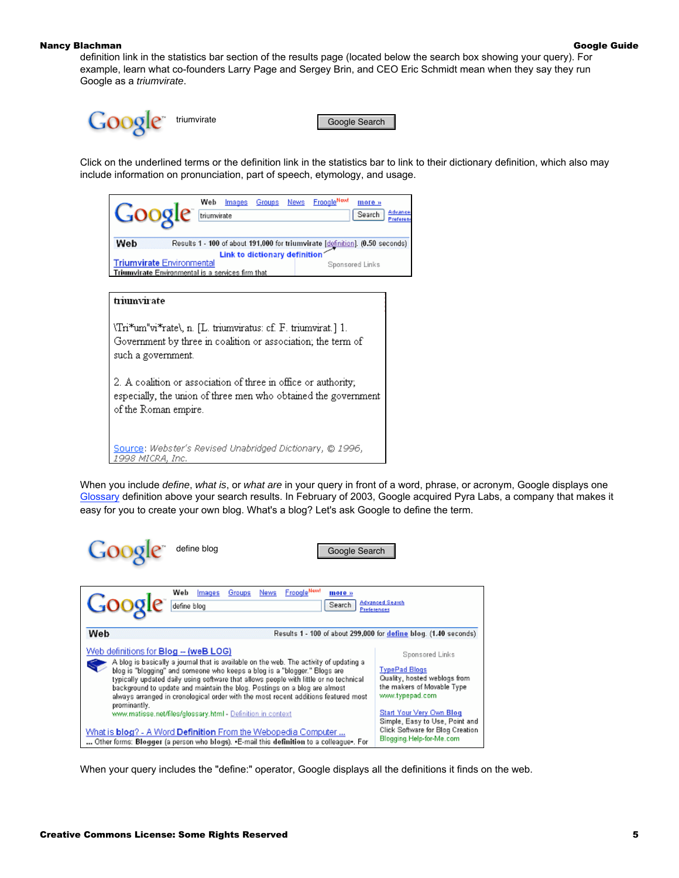definition link in the statistics bar section of the results page (located below the search box showing your query). For example, learn what co-founders Larry Page and Sergey Brin, and CEO Eric Schmidt mean when they say they run Google as a triumvirate.



Click on the underlined terms or the definition link in the statistics bar to link to their dictionary definition, which also may include information on pronunciation, part of speech, etymology, and usage.



\Tri\*um"vi\*rate\, n. [L. triumviratus: cf. F. triumvirat.] 1. Government by three in coalition or association; the term of such a government.

2. A coalition or association of three in office or authority; especially, the union of three men who obtained the government of the Roman empire.

Source: Webster's Revised Unabridged Dictionary, @ 1996, 1998 MICRA, Inc.

When you include define, what is, or what are in your query in front of a word, phrase, or acronym, Google displays one [Glossary](http://www.googleguide.com/glossary.html) definition above your search results. In February of 2003, Google acquired Pyra Labs, a company that makes it easy for you to create your own blog. What's a blog? Let's ask Google to define the term.

| Coog<br>define blog<br>Google Search                                                                                                                                                                                                                                                                                                                                                                                                                                                                                                                     |                                                                                                                                                      |
|----------------------------------------------------------------------------------------------------------------------------------------------------------------------------------------------------------------------------------------------------------------------------------------------------------------------------------------------------------------------------------------------------------------------------------------------------------------------------------------------------------------------------------------------------------|------------------------------------------------------------------------------------------------------------------------------------------------------|
| <b>FroogleNewl</b><br>Web<br>News<br>Groups<br>Images<br>more »<br><b>Google</b><br>define blog<br>Search                                                                                                                                                                                                                                                                                                                                                                                                                                                | <b>Advanced Search</b><br><b>Preferences</b>                                                                                                         |
| Web                                                                                                                                                                                                                                                                                                                                                                                                                                                                                                                                                      | Results 1 - 100 of about 299,000 for define blog. (1.40 seconds)                                                                                     |
| Web definitions for Blog -- (weB LOG)<br>A blog is basically a journal that is available on the web. The activity of updating a<br>blog is "blogging" and someone who keeps a blog is a "blogger." Blogs are<br>typically updated daily using software that allows people with little or no technical.<br>background to update and maintain the blog. Postings on a blog are almost<br>always arranged in cronological order with the most recent additions featured most<br>prominantly.<br>www.matisse.net/files/glossary.html - Definition in context | Sponsored Links<br><b>TypePad Blogs</b><br>Quality, hosted weblogs from<br>the makers of Movable Type<br>www.typepad.com<br>Start Your Very Own Blog |
| What is blog? - A Word Definition From the Webopedia Computer<br>Other forms: Blogger (a person who blogs). •E-mail this definition to a colleague•. For                                                                                                                                                                                                                                                                                                                                                                                                 | Simple, Easy to Use, Point and<br>Click Software for Blog Creation<br>Blogging. Help-for-Me.com                                                      |

When your query includes the "define:" operator, Google displays all the definitions it finds on the web.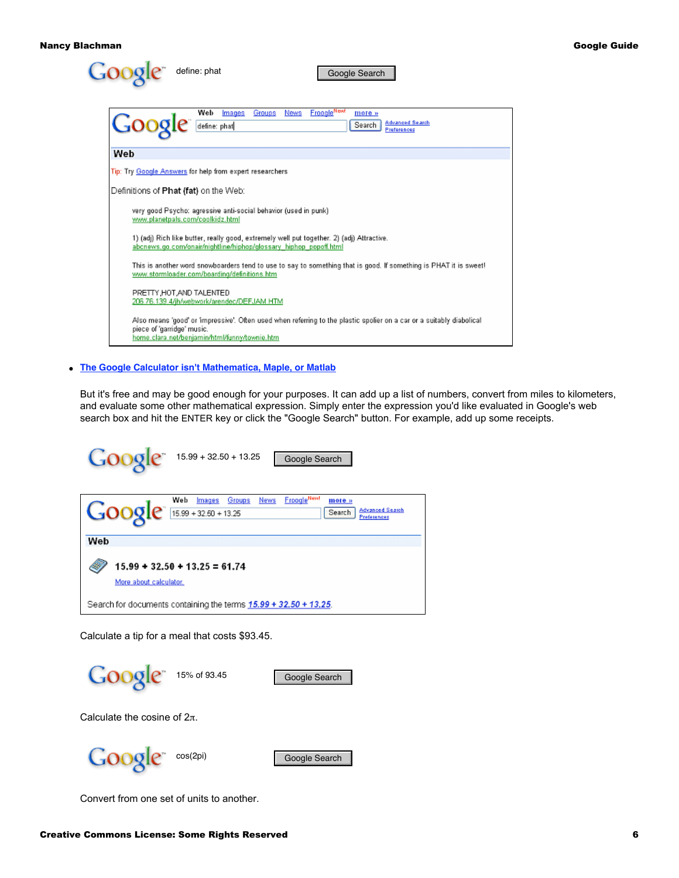

● **[The Google Calculator isn't Mathematica, Maple, or Matlab](http://www.googleguide.com/calculator.html)**

But it's free and may be good enough for your purposes. It can add up a list of numbers, convert from miles to kilometers, and evaluate some other mathematical expression. Simply enter the expression you'd like evaluated in Google's web search box and hit the ENTER key or click the "Google Search" button. For example, add up some receipts.

| $GOOQ C^{n}$ 15.99 + 32.50 + 13.25<br>Google Search                                                                                 |
|-------------------------------------------------------------------------------------------------------------------------------------|
| <b>FroogleNewl</b><br>Web<br>News<br>Groups<br>Images<br>more »<br>Google 15.89 + 32.50 + 13.25<br><b>Advanced Search</b><br>Search |
| Web                                                                                                                                 |
| $15.99 + 32.50 + 13.25 = 61.74$<br>More about calculator.                                                                           |
| Search for documents containing the terms 15.99 + 32.50 + 13.25.                                                                    |

Calculate a tip for a meal that costs \$93.45.

| 15% of 93.45 |               |
|--------------|---------------|
|              | Google Search |
|              |               |
|              |               |

Calculate the cosine of  $2\pi$ .

|  | cos(2pi |
|--|---------|
|--|---------|

Google Search

Convert from one set of units to another.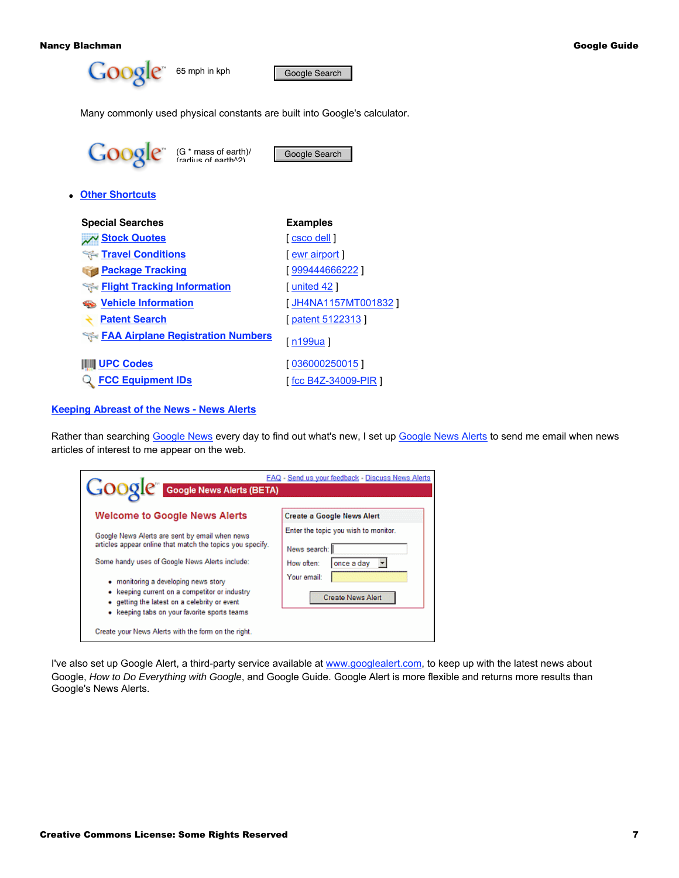

Many commonly used physical constants are built into Google's calculator.

| $Gogle^{\pi}$ (G * mass of earth)/       | Google Search                         |
|------------------------------------------|---------------------------------------|
| • Other Shortcuts                        |                                       |
| <b>Special Searches</b>                  | <b>Examples</b>                       |
| W Stock Quotes                           | $\lceil \csc 0 \, \text{dell} \rceil$ |
| <b>Travel Conditions</b>                 | ewr airport                           |
| <b>Package Tracking</b>                  | 999444666222                          |
| Flight Tracking Information              | [ united 42 ]                         |
| <b>Wehicle Information</b>               | <u>[ JH4NA1157MT001832 ]</u>          |
| <b>Patent Search</b>                     | [patent 5122313]                      |
| <b>FAA Airplane Registration Numbers</b> | [ n199ua ]                            |
| <b>∥ UPC Codes</b>                       | [036000250015]                        |
| <b>FCC Equipment IDs</b>                 | [ fcc B4Z-34009-PIR ]                 |
|                                          |                                       |

**[Keeping Abreast of the News - News Alerts](http://www.googleguide.com/news.html#newsAlerts)**

Rather than searching [Google News](http://news.google.com/) every day to find out what's new, I set up [Google News Alerts](http://www.googleguide.com/labs.html#newsAlerts) to send me email when news articles of interest to me appear on the web.

| <b>GOOOL</b> Google News Alerts (BETA)                                                                                                                                                | <b>FAQ - Send us your feedback - Discuss News Alerts</b> |
|---------------------------------------------------------------------------------------------------------------------------------------------------------------------------------------|----------------------------------------------------------|
| <b>Welcome to Google News Alerts</b>                                                                                                                                                  | <b>Create a Google News Alert</b>                        |
| Google News Alerts are sent by email when news<br>articles appear online that match the topics you specify.                                                                           | Enter the topic you wish to monitor.<br>News search: I   |
| Some handy uses of Google News Alerts include:                                                                                                                                        | How often:<br>once a day                                 |
| • monitoring a developing news story<br>• keeping current on a competitor or industry<br>• getting the latest on a celebrity or event<br>• keeping tabs on your favorite sports teams | Your email:<br><b>Create News Alert</b>                  |
| Create your News Alerts with the form on the right.                                                                                                                                   |                                                          |

I've also set up Google Alert, a third-party service available at [www.googlealert.com](http://www.googlealert.com/), to keep up with the latest news about Google, How to Do Everything with Google, and Google Guide. Google Alert is more flexible and returns more results than Google's News Alerts.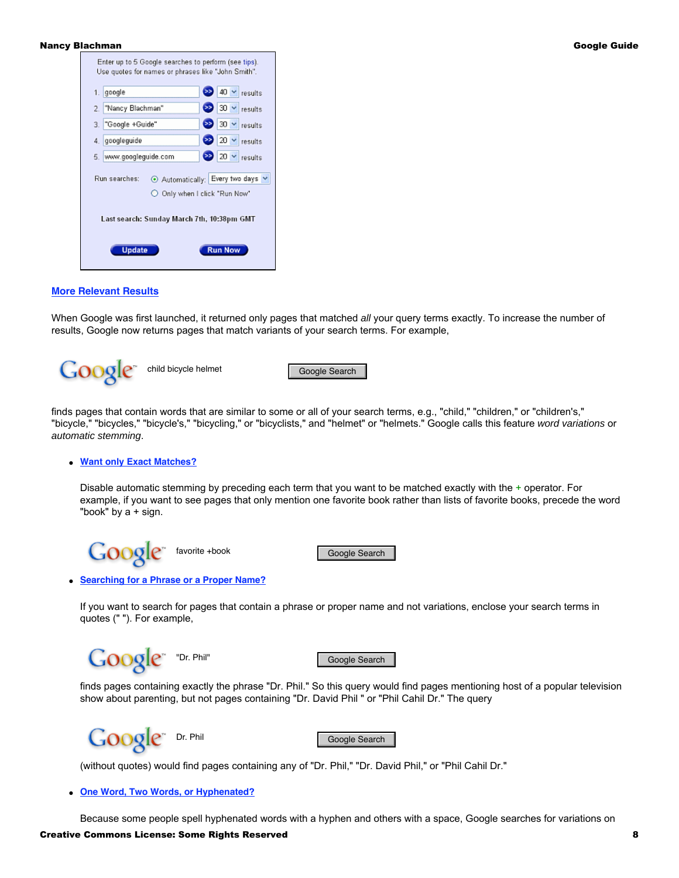

### **[More Relevant Results](http://www.googleguide.com/interpreting_queries.html#stemming)**

When Google was first launched, it returned only pages that matched all your query terms exactly. To increase the number of results, Google now returns pages that match variants of your search terms. For example,

child bicycle helmet Google Search

finds pages that contain words that are similar to some or all of your search terms, e.g., "child," "children," or "children's," "bicycle," "bicycles," "bicycle's," "bicycling," or "bicyclists," and "helmet" or "helmets." Google calls this feature word variations or automatic stemming.

## ● **[Want only Exact Matches?](http://www.googleguide.com/crafting_queries.html#disableAutomaticStemming)**

Disable automatic stemming by preceding each term that you want to be matched exactly with the + operator. For example, if you want to see pages that only mention one favorite book rather than lists of favorite books, precede the word "book" by  $a + sign$ .

book Google Search

# ● **[Searching for a Phrase or a Proper Name?](http://www.googleguide.com/crafting_queries.html#exactMatching)**

If you want to search for pages that contain a phrase or proper name and not variations, enclose your search terms in quotes (" "). For example,

Google Search

finds pages containing exactly the phrase "Dr. Phil." So this query would find pages mentioning host of a popular television show about parenting, but not pages containing "Dr. David Phil " or "Phil Cahil Dr." The query



(without quotes) would find pages containing any of "Dr. Phil," "Dr. David Phil," or "Phil Cahil Dr."

#### ● **[One Word, Two Words, or Hyphenated?](http://www.googleguide.com/interpreting_queries.html#hyphenatedWords)**

Because some people spell hyphenated words with a hyphen and others with a space, Google searches for variations on

## Creative Commons License: Some Rights Reserved 8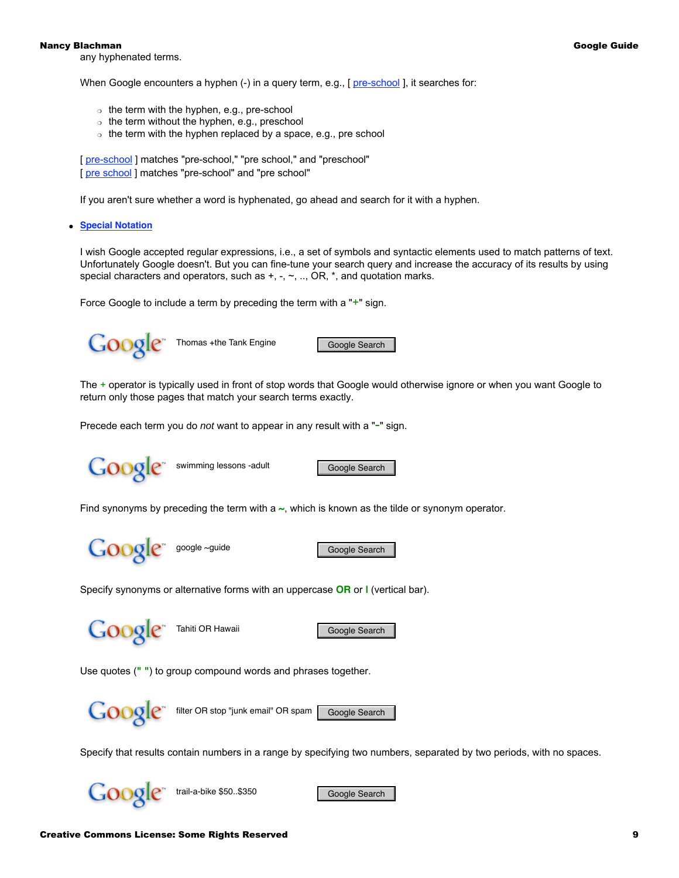any hyphenated terms.

When Google encounters a hyphen (-) in a query term, e.g., [ [pre-school](http://www.google.com/search?q=pre-school) ], it searches for:

- $\circ$  the term with the hyphen, e.g., pre-school
- $\circ$  the term without the hyphen, e.g., preschool
- $\circ$  the term with the hyphen replaced by a space, e.g., pre school

[  $pre-school$  ] matches "pre-school," "pre school," and "preschool" [ [pre school](http://www.google.com/search?q=pre+school) ] matches "pre-school" and "pre school"

If you aren't sure whether a word is hyphenated, go ahead and search for it with a hyphen.

● **[Special Notation](http://www.googleguide.com/crafting_queries.html)**

I wish Google accepted regular expressions, i.e., a set of symbols and syntactic elements used to match patterns of text. Unfortunately Google doesn't. But you can fine-tune your search query and increase the accuracy of its results by using special characters and operators, such as  $+, -, \sim, ...$ , OR,  $*,$  and quotation marks.

Force Google to include a term by preceding the term with a "+" sign.



The + operator is typically used in front of stop words that Google would otherwise ignore or when you want Google to return only those pages that match your search terms exactly.

Precede each term you do not want to appear in any result with a "-" sign.



Find synonyms by preceding the term with a **~**, which is known as the tilde or synonym operator.

Google = google ~guide Google Search

Specify synonyms or alternative forms with an uppercase **OR** or **|** (vertical bar).

Google Tahiti OR Hawaii Google Search

Use quotes (**" "**) to group compound words and phrases together.



Google<sup>\*</sup> filter OR stop "junk email" OR spam [Google Search

Specify that results contain numbers in a range by specifying two numbers, separated by two periods, with no spaces.

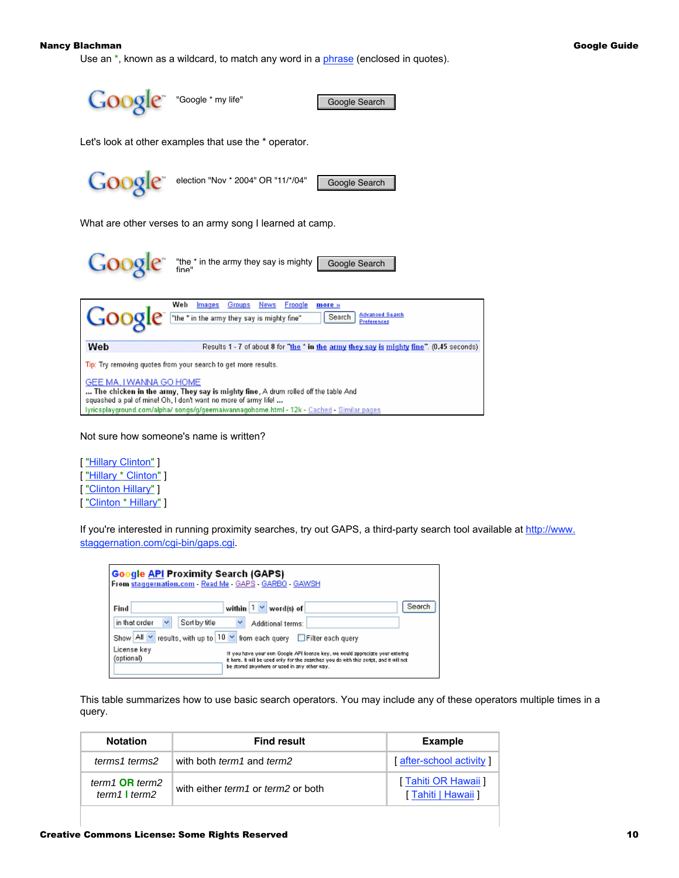Use an \*, known as a wildcard, to match any word in a [phrase](http://www.googleguide.com/favorite_features.html#phrase) (enclosed in quotes).



Not sure how someone's name is written?

[ "Hillary Clinton" ] ["Hillary \* Clinton"] [ "Clinton Hillary" ] [ "Clinton \* Hillary" ]

If you're interested in running proximity searches, try out GAPS, a third-party search tool available at [http://www.](http://www.staggernation.com/cgi-bin/gaps.cgi) [staggernation.com/cgi-bin/gaps.cgi.](http://www.staggernation.com/cgi-bin/gaps.cgi)

| <b>Google API Proximity Search (GAPS)</b><br>From staggernation.com - Read Me - GAPS - GARBO - GAWSH                                                                                                                                                  |                                      |  |  |
|-------------------------------------------------------------------------------------------------------------------------------------------------------------------------------------------------------------------------------------------------------|--------------------------------------|--|--|
| Find                                                                                                                                                                                                                                                  | Search<br>within $1 \vee$ word(s) of |  |  |
| Sort by title<br>in that order                                                                                                                                                                                                                        | Additional terms:                    |  |  |
| Show All v<br>results, with up to 10 → from each query ElFilter each query                                                                                                                                                                            |                                      |  |  |
| License key<br>If you have your own Google API foense key, we would appreciate your entering<br>(optional)<br>it here. It will be used only for the searches you do with this sorist, and it will not<br>be stored anywhere or used in any other way. |                                      |  |  |

This table summarizes how to use basic search operators. You may include any of these operators multiple times in a query.

| <b>Notation</b>                       | <b>Find result</b>                               | <b>Example</b>                            |
|---------------------------------------|--------------------------------------------------|-------------------------------------------|
| terms1 terms2                         | with both term1 and term2                        | [after-school activity]                   |
| term1 $OR$ term2<br>$term1$   $term2$ | with either <i>term1</i> or <i>term2</i> or both | [Tahiti OR Hawaii]<br>[ Tahiti   Hawaii ] |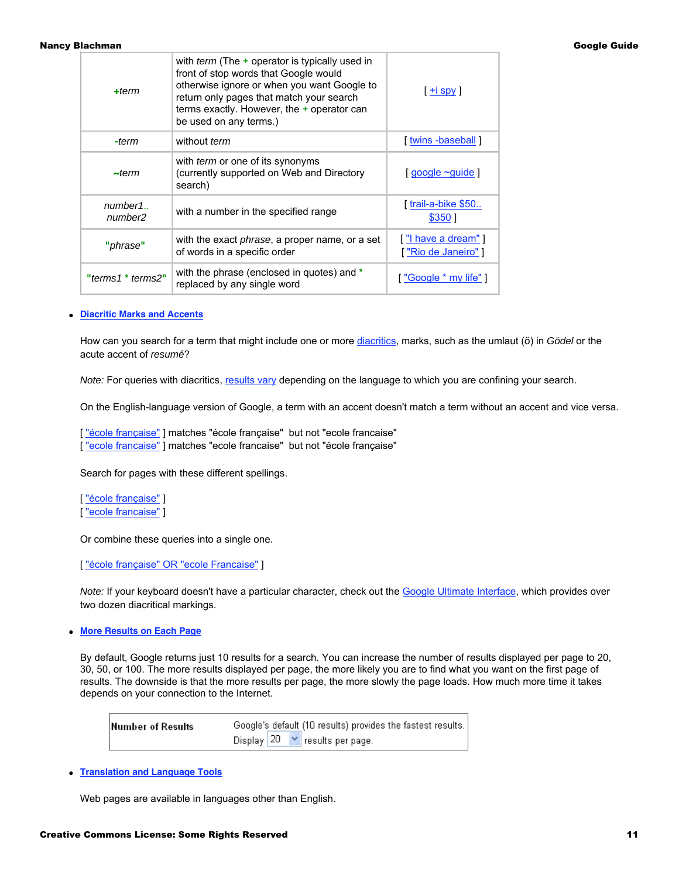| $+ term$                        | with <i>term</i> (The $+$ operator is typically used in<br>front of stop words that Google would<br>otherwise ignore or when you want Google to<br>return only pages that match your search<br>terms exactly. However, the $+$ operator can<br>be used on any terms.) | $\pm$ i spy ]                           |
|---------------------------------|-----------------------------------------------------------------------------------------------------------------------------------------------------------------------------------------------------------------------------------------------------------------------|-----------------------------------------|
| -term                           | without <i>term</i>                                                                                                                                                                                                                                                   | [ twins -baseball ]                     |
| $\sim$ term                     | with <i>term</i> or one of its synonyms<br>(currently supported on Web and Directory<br>search)                                                                                                                                                                       | $[$ google $\sim$ guide $]$             |
| number1.<br>number <sub>2</sub> | with a number in the specified range                                                                                                                                                                                                                                  | $\lceil$ trail-a-bike \$50<br>\$350]    |
| "phrase"                        | with the exact <i>phrase</i> , a proper name, or a set<br>of words in a specific order                                                                                                                                                                                | ["I have a dream"]<br>l'Rio de Janeiro" |
| "terms1 * terms2"               | with the phrase (enclosed in quotes) and *<br>replaced by any single word                                                                                                                                                                                             | [ "Google * my life" ]                  |

# ● **[Diacritic Marks and Accents](http://www.googleguide.com/interpreting_queries.html#accents)**

How can you search for a term that might include one or more [diacritics](http://www.googleguide.com/interpreting_queries.html#accents), marks, such as the umlaut (ö) in Gödel or the acute accent of resumé?

Note: For queries with diacritics, [results vary](http://www.googleguide.com/interpreting_queries.html#results_vary) depending on the language to which you are confining your search.

On the English-language version of Google, a term with an accent doesn't match a term without an accent and vice versa.

["école française"] matches "école française" but not "ecole francaise" [ "ecole francaise" ] matches "ecole francaise" but not "école française"

Search for pages with these different spellings.

[ "école française" ] [ "ecole francaise" ]

Or combine these queries into a single one.

[ "école française" OR "ecole Francaise" ]

Note: If your keyboard doesn't have a particular character, check out the [Google Ultimate Interface](http://www.googleguide.com/favorite_dates.html#google_ultimate_interface), which provides over two dozen diacritical markings.

● **[More Results on Each Page](http://www.googleguide.com/preferences.html)**

By default, Google returns just 10 results for a search. You can increase the number of results displayed per page to 20, 30, 50, or 100. The more results displayed per page, the more likely you are to find what you want on the first page of results. The downside is that the more results per page, the more slowly the page loads. How much more time it takes depends on your connection to the Internet.

| Number of Results | Google's default (10 results) provides the fastest results. |
|-------------------|-------------------------------------------------------------|
|                   | Display $20 \times$ results per page.                       |

● **[Translation and Language Tools](http://www.googleguide.com/favorite_languages.html)**

Web pages are available in languages other than English.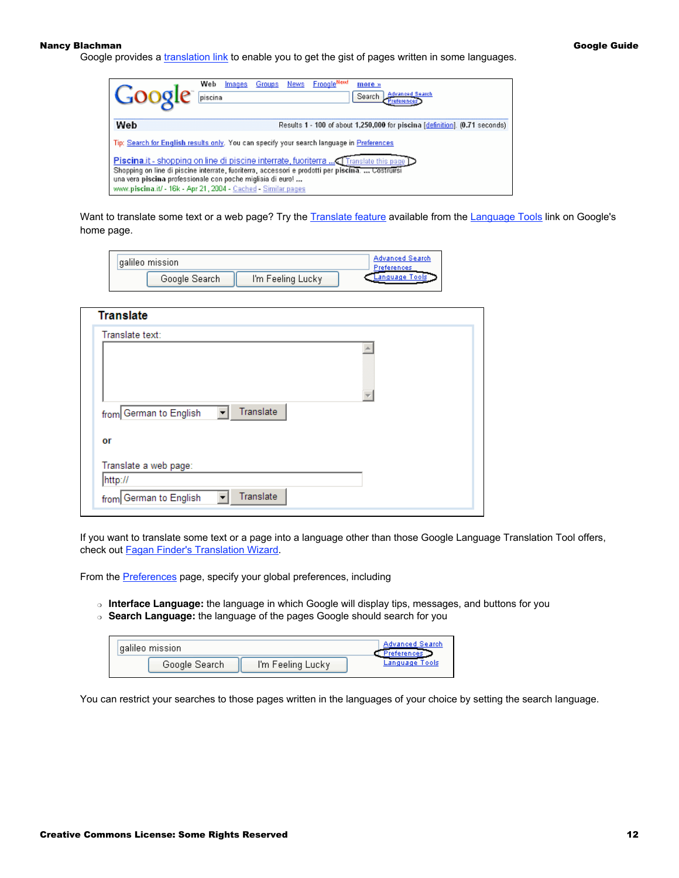Google provides a *translation link* to enable you to get the gist of pages written in some languages.

| Google                                                                                                                                                                                                                                                                                                          | FroogleNew!<br>Web<br><b>News</b><br>Groups<br>Images<br>more »<br><b>Advanced Search</b><br>piscina<br>Search |  |
|-----------------------------------------------------------------------------------------------------------------------------------------------------------------------------------------------------------------------------------------------------------------------------------------------------------------|----------------------------------------------------------------------------------------------------------------|--|
| Web                                                                                                                                                                                                                                                                                                             | Results 1 - 100 of about 1,250,000 for piscina [definition]. (0.71 seconds)                                    |  |
|                                                                                                                                                                                                                                                                                                                 | Tip: Search for English results only. You can specify your search language in Preferences                      |  |
| [ Translate this page ] Piscine internate, fuoriterra  [ Translate this page<br>Shopping on line di piscine interrate, fuoriterra, accessori e prodotti per piscina.  Costruirsi<br>una vera piscina professionale con poche migliaia di euro!<br>www.piscina.it/ - 16k - Apr 21, 2004 - Cached - Similar pages |                                                                                                                |  |

Want to translate some text or a web page? Try the [Translate feature](http://www.googleguide.com/translation.html) available from the [Language Tools](http://www.googleguide.com/translation.html#languageTools) link on Google's home page.

| aalileo mission |                   | <b>Advanced Search</b><br>Preferences |
|-----------------|-------------------|---------------------------------------|
| Google Search   | I'm Feeling Lucky |                                       |

| <b>Translate</b>                                                |  |
|-----------------------------------------------------------------|--|
| Translate text:                                                 |  |
|                                                                 |  |
|                                                                 |  |
|                                                                 |  |
| Translate<br>from German to English<br>$\blacktriangledown$     |  |
| or                                                              |  |
| Translate a web page:                                           |  |
| http://                                                         |  |
| Translate<br>from German to English<br>$\overline{\phantom{0}}$ |  |

If you want to translate some text or a page into a language other than those Google Language Translation Tool offers, check out [Fagan Finder's Translation Wizard](http://www.faganfinder.com/translate/).

From the **Preferences** page, specify your global preferences, including

- ❍ **Interface Language:** the language in which Google will display tips, messages, and buttons for you
- ❍ **Search Language:** the language of the pages Google should search for you

| lgalileo mission i |                   | Advanced Search |
|--------------------|-------------------|-----------------|
| Google Search      | I'm Feeling Lucky | Language Tools  |

You can restrict your searches to those pages written in the languages of your choice by setting the search language.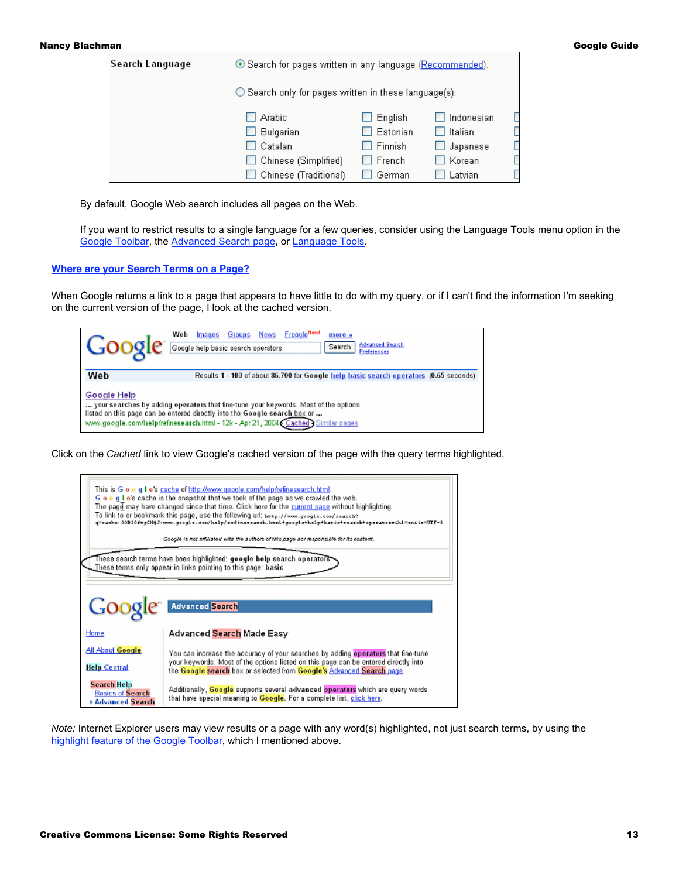| Search Language | ⊙ Search for pages written in any language (Recommended).      |          |                  |  |
|-----------------|----------------------------------------------------------------|----------|------------------|--|
|                 | $\bigcirc$ Search only for pages written in these language(s): |          |                  |  |
|                 | Arabic                                                         | English  | I Indonesian     |  |
|                 | Bulgarian                                                      | Estonian | <b>N</b> Italian |  |
|                 | Catalan                                                        | Finnish  | $\Box$ Japanese  |  |
|                 | Chinese (Simplified)                                           | French   | Korean           |  |
|                 | Chinese (Traditional)                                          | German   | Latvian          |  |

By default, Google Web search includes all pages on the Web.

If you want to restrict results to a single language for a few queries, consider using the Language Tools menu option in the [Google Toolbar](http://www.googleguide.com/tools.html#toolbar), the [Advanced Search page](http://www.googleguide.com/sharpening_queries.html#language), or [Language Tools.](http://www.googleguide.com/translation.html#languageTools)

# **[Where are your Search Terms on a Page?](http://www.googleguide.com/cached_pages.html)**

When Google returns a link to a page that appears to have little to do with my query, or if I can't find the information I'm seeking on the current version of the page, I look at the cached version.

|             | <b>FroogleNew</b><br>Web<br>Groups<br>News<br>Images<br>more »<br><b>Advanced Search</b><br>Search<br>Google help basic search operators<br>Preferences                                                                                               |
|-------------|-------------------------------------------------------------------------------------------------------------------------------------------------------------------------------------------------------------------------------------------------------|
| Web         | Results 1 - 100 of about 86,700 for Google help basic search operators. (0.65 seconds)                                                                                                                                                                |
| Google Help | your searches by adding operators that fine-tune your keywords. Most of the options<br>listed on this page can be entered directly into the Google search box or<br>www.google.com/help/refinesearch.html - 12k - Apr 21, 2004 Cached > Similar pages |

Click on the Cached link to view Google's cached version of the page with the query terms highlighted.

|                                                                         | This is G o o g I e's cache of http://www.google.com/help/refinesearch.html.<br>G o o q I e's cache is the snapshot that we took of the page as we crawled the web.<br>The page may have changed since that time. Click here for the current page without highlighting.<br>To link to or bookmark this page, use the following url: <del>hoop://www.googt.com/peaceh</del> ?<br>q"cache: 30D30ftgCHQJ:wow.google.com/help/zefinesearch.html+google+help+basic+search+operatorsfhl=enfic=UTF-8<br>Google is not affiliated with the authors of this page nor responsible for its content. |
|-------------------------------------------------------------------------|------------------------------------------------------------------------------------------------------------------------------------------------------------------------------------------------------------------------------------------------------------------------------------------------------------------------------------------------------------------------------------------------------------------------------------------------------------------------------------------------------------------------------------------------------------------------------------------|
|                                                                         | These search terms have been highlighted: google help search operators<br>These terms only appear in links pointing to this page: basic                                                                                                                                                                                                                                                                                                                                                                                                                                                  |
| Google                                                                  | <b>Advanced Search</b>                                                                                                                                                                                                                                                                                                                                                                                                                                                                                                                                                                   |
| Home                                                                    | Advanced Search Made Easy                                                                                                                                                                                                                                                                                                                                                                                                                                                                                                                                                                |
| All About Google<br><b>Help Central</b>                                 | You can increase the accuracy of your searches by adding operators that fine-tune<br>your keywords. Most of the options listed on this page can be entered directly into<br>the Google search box or selected from Google's Advanced Search page.                                                                                                                                                                                                                                                                                                                                        |
| <b>Search Help</b><br><b>Basics of Search</b><br><b>Advanced Search</b> | Additionally, Google supports several advanced operators which are query words<br>that have special meaning to <b>Google</b> . For a complete list, click here.                                                                                                                                                                                                                                                                                                                                                                                                                          |

Note: Internet Explorer users may view results or a page with any word(s) highlighted, not just search terms, by using the [highlight feature of the Google Toolbar,](http://www.googleguide.com/favorite_features.html#toolbar) which I mentioned above.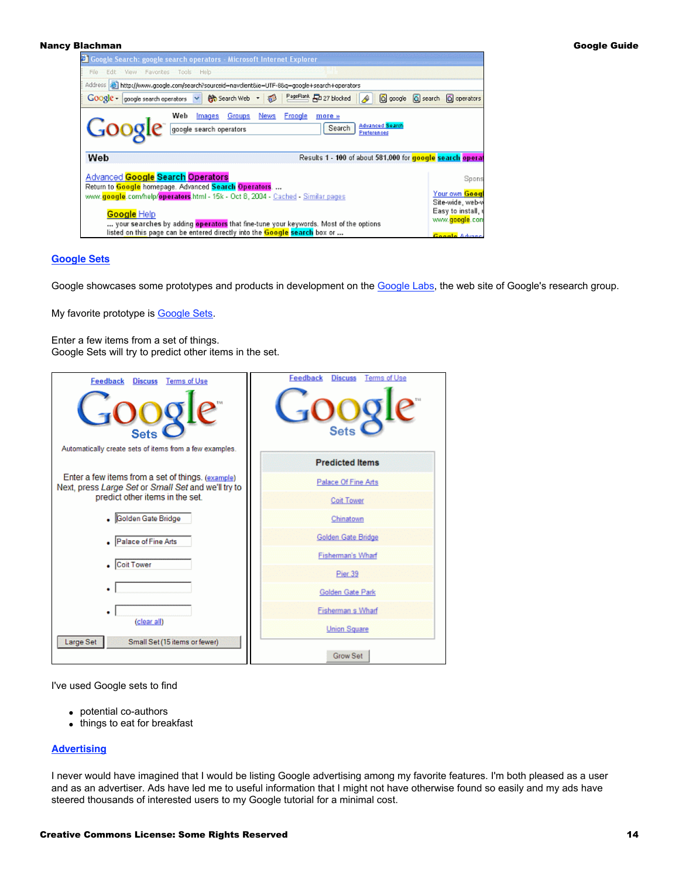| <sup>2</sup> Google Search: google search operators - Microsoft Internet Explorer                                                                                                                                                                                                         |                                                                                                   |
|-------------------------------------------------------------------------------------------------------------------------------------------------------------------------------------------------------------------------------------------------------------------------------------------|---------------------------------------------------------------------------------------------------|
| File Edit View Favorites Tools Help                                                                                                                                                                                                                                                       |                                                                                                   |
| Address   bttp://www.google.com/search?sourceid=navdient&ie=UTF-8&q=google+search+operators                                                                                                                                                                                               |                                                                                                   |
| Google - google search operators v $\frac{1}{20}$ Search Web - $\frac{1}{20}$ PageRank $\frac{1}{20}$ 27 blocked $\frac{1}{20}$                                                                                                                                                           | Q google Q search Q operators                                                                     |
| Images Groups<br><b>News</b><br>Froogle<br>Web<br>more »<br>Google<br><b>Advanced Search</b><br>google search operators<br>Search<br>Preferences                                                                                                                                          |                                                                                                   |
| Results 1 - 100 of about 581,000 for google search operat<br>Web                                                                                                                                                                                                                          |                                                                                                   |
| Advanced <b>Google Search Operators</b><br>Return to Google homepage. Advanced Search Operators.<br>www.google.com/help/operators.html - 15k - Oct 8, 2004 - Cached - Similar pages<br>Google Help<br>your searches by adding operators that fine-tune your keywords. Most of the options | Spons<br>Your own Goog<br>Site-wide, web-v<br>Easy to install, t<br>www. <mark>google</mark> .com |

# **[Google Sets](http://www.googleguide.com/labs.html)**

Google showcases some prototypes and products in development on the [Google Labs,](http://labs.google.com/) the web site of Google's research group.

My favorite prototype is [Google Sets.](http://labs.google.com/sets)

Enter a few items from a set of things. Google Sets will try to predict other items in the set.



I've used Google sets to find

- potential co-authors
- things to eat for breakfast

# **[Advertising](http://www.googleguide.com/ads.html)**

I never would have imagined that I would be listing Google advertising among my favorite features. I'm both pleased as a user and as an advertiser. Ads have led me to useful information that I might not have otherwise found so easily and my ads have steered thousands of interested users to my Google tutorial for a minimal cost.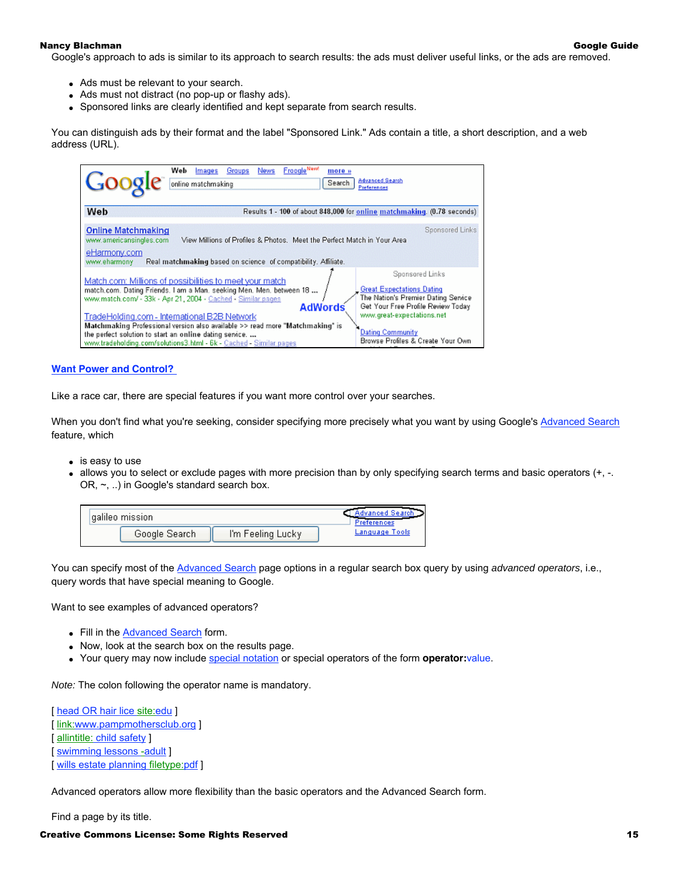Google's approach to ads is similar to its approach to search results: the ads must deliver useful links, or the ads are removed.

- Ads must be relevant to your search.
- Ads must not distract (no pop-up or flashy ads).
- Sponsored links are clearly identified and kept separate from search results.

You can distinguish ads by their format and the label "Sponsored Link." Ads contain a title, a short description, and a web address (URL).

| Googl                                                                                | <b>Froogle News</b><br>Web<br>News<br>Groups<br>Images<br>more »<br><b>Advanced Search</b><br>online matchmaking<br>Search                                                                                                                                                                                                                                                                                                                                                                                                                                                                                                                                                                                           |
|--------------------------------------------------------------------------------------|----------------------------------------------------------------------------------------------------------------------------------------------------------------------------------------------------------------------------------------------------------------------------------------------------------------------------------------------------------------------------------------------------------------------------------------------------------------------------------------------------------------------------------------------------------------------------------------------------------------------------------------------------------------------------------------------------------------------|
| Web                                                                                  | Results 1 - 100 of about 848,000 for online matchmaking. (0.78 seconds)                                                                                                                                                                                                                                                                                                                                                                                                                                                                                                                                                                                                                                              |
| <b>Online Matchmaking</b><br>www.americansingles.com<br>eHarmony.com<br>www.eharmony | Sponsored Links<br>View Millions of Profiles & Photos. Meet the Perfect Match in Your Area<br>Real matchmaking based on science of compatibility. Affiliate.                                                                                                                                                                                                                                                                                                                                                                                                                                                                                                                                                         |
|                                                                                      | Sponsored Links<br>Match.com: Millions of possibilities to meet your match<br><b>Great Expectations Dating</b><br>match.com. Dating Friends. I am a Man. seeking Men. Men. between 18<br>The Nation's Premier Dating Service<br>www.match.com/ - 33k - Apr 21, 2004 - Cached - Similar pages<br><b>AdWords</b><br>Get Your Free Profile Review Today<br>www.great-expectations.net<br>TradeHolding.com - International B2B Network<br>Matchmaking Professional version also available >> read more "Matchmaking" is<br><b>Dating Community</b><br>the perfect solution to start an online dating service.<br>Browse Profiles & Create Your Own<br>www.tradeholding.com/solutions3.html - 6k - Cached - Similar pages |

## **[Want Power and Control?](http://www.googleguide.com/advanced_operators.html)**

Like a race car, there are special features if you want more control over your searches.

When you don't find what you're seeking, consider specifying more precisely what you want by using Google's [Advanced Search](http://www.googleguide.com/sharpening_queries.html) feature, which

- $\bullet$  is easy to use
- allows you to select or exclude pages with more precision than by only specifying search terms and basic operators (+, -. OR, ~, ..) in Google's standard search box.

| aalileo mission |                   | hranced Searc<br>terences |
|-----------------|-------------------|---------------------------|
| Google Search   | I'm Feeling Lucky | Language Tools            |

You can specify most of the [Advanced Search](http://www.google.com/advanced_search) page options in a regular search box query by using advanced operators, i.e., query words that have special meaning to Google.

Want to see examples of advanced operators?

- Fill in the [Advanced Search](http://www.google.com/advanced_search) form.
- Now, look at the search box on the results page.
- Your query may now include [special notation](http://www.googleguide.com/sharpening_queries.html#specialNotation) or special operators of the form **operator:**value.

Note: The colon following the operator name is mandatory.

[ [head OR hair lice site:edu](http://www.google.com/search?q=head+OR+hair+lice+site:edu) ] [ [link:www.pampmothersclub.org](http://www.google.com/search?q=link:www.doctorswithoutborders.org) ] [ allintitle: child safety ] [ [swimming lessons -adult](http://www.google.com/search?q=swimming+lesssons+-adult) ] [ [wills estate planning filetype:pdf](http://www.google.com/search?q=wills+estate+planning+filetype:pdf) ]

Advanced operators allow more flexibility than the basic operators and the Advanced Search form.

Find a page by its title.

#### Creative Commons License: Some Rights Reserved 15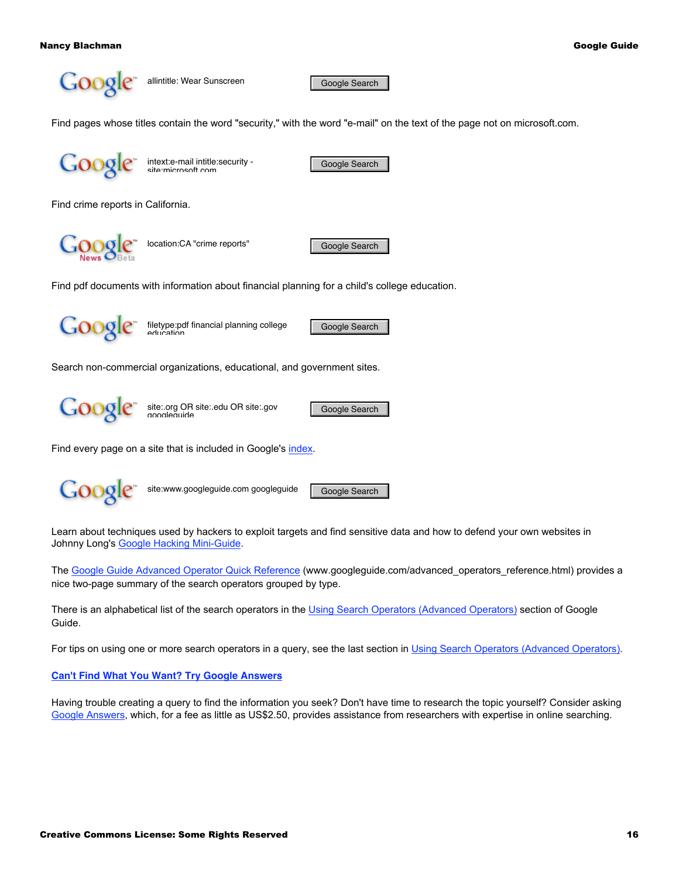

allintitle: Wear Sunscreen Google Search

Find pages whose titles contain the word "security," with the word "e-mail" on the text of the page not on microsoft.com.



intext:e-mail intitle:security - Google Search<br>site:microsoft.com

Find crime reports in California.

location:CA "crime reports" Google Search

Find pdf documents with information about financial planning for a child's college education.



filetype:pdf financial planning college **Google Search**<br>education

Search non-commercial organizations, educational, and government sites.



site:.org OR site:.edu OR site:.gov Google Search

Find every page on a site that is included in Google's [index](http://www.googleguide.com/google_works.html#howGoogleWorks).



site:www.googleguide.com googleguide Google Search

Learn about techniques used by hackers to exploit targets and find sensitive data and how to defend your own websites in Johnny Long's [Google Hacking Mini-Guide](http://www.informit.com/articles/article.asp?p=170880&rl=1).

The [Google Guide Advanced Operator Quick Reference](http://www.googleguide.com/advanced_operators_reference.html) (www.googleguide.com/advanced\_operators\_reference.html) provides a nice two-page summary of the search operators grouped by type.

There is an alphabetical list of the search operators in the [Using Search Operators \(Advanced Operators\)](http://www.googleguide.com/advanced_operators.html) section of Google Guide.

For tips on using one or more search operators in a query, see the last section in [Using Search Operators \(Advanced Operators\)](http://www.googleguide.com/advanced_operators.html#combine_operators).

# **[Can't Find What You Want? Try Google Answers](http://www.googleguide.com/answers.html)**

Having trouble creating a query to find the information you seek? Don't have time to research the topic yourself? Consider asking [Google Answers,](http://answers.google.com/) which, for a fee as little as US\$2.50, provides assistance from researchers with expertise in online searching.